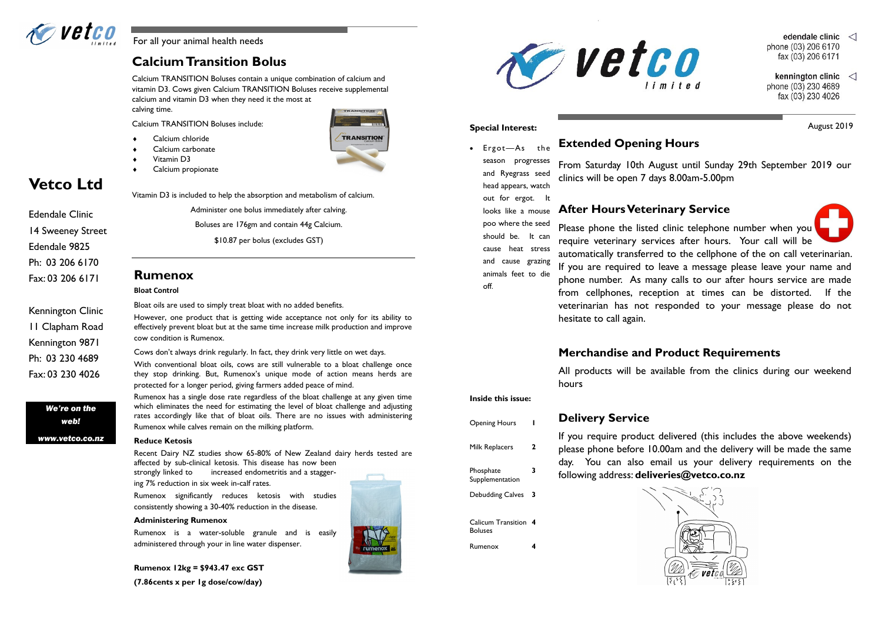Calcium TRANSITION Boluses contain a unique combination of calcium and vitamin D3. Cows given Calcium TRANSITION Boluses receive supplemental calcium and vitamin D3 when they need it the most at calving time.

Calcium TRANSITION Boluses include:

- Calcium chloride
- Calcium carbonate
- Vitamin D3
- Calcium propionate



Vitamin D3 is included to help the absorption and metabolism of calcium.

Administer one bolus immediately after calving. Boluses are 176gm and contain 44g Calcium. \$10.87 per bolus (excludes GST)

## **Calcium Transition Bolus**

### **Rumenox**

### **Bloat Control**

Bloat oils are used to simply treat bloat with no added benefits.

However, one product that is getting wide acceptance not only for its ability to effectively prevent bloat but at the same time increase milk production and improve cow condition is Rumenox.

Cows don't always drink regularly. In fact, they drink very little on wet days. With conventional bloat oils, cows are still vulnerable to a bloat challenge once they stop drinking. But, Rumenox's unique mode of action means herds are

protected for a longer period, giving farmers added peace of mind.

Rumenox has a single dose rate regardless of the bloat challenge at any given time which eliminates the need for estimating the level of bloat challenge and adjusting rates accordingly like that of bloat oils. There are no issues with administering Rumenox while calves remain on the milking platform.

### **Reduce Ketosis**

Recent Dairy NZ studies show 65-80% of New Zealand dairy herds tested are affected by sub-clinical ketosis. This disease has now been

strongly linked to increased endometritis and a staggering 7% reduction in six week in-calf rates.

Rumenox significantly reduces ketosis with studies consistently showing a 30-40% reduction in the disease.

#### **Administering Rumenox**

Rumenox is a water-soluble granule and is easily administered through your in line water dispenser.

**Rumenox 12kg = \$943.47 exc GST** 

**(7.86cents x per 1g dose/cow/day)**



### **Special Interest:** August 2019



**Vetco Ltd**

*We're on the web!*

*www.vetco.co.nz*

Edendale Clinic

14 Sweeney Street

Edendale 9825

Ph: 03 206 6170

Fax: 03 206 6171

Kennington Clinic

11 Clapham Road

Kennington 9871

Ph: 03 230 4689

Fax: 03 230 4026

## **Extended Opening Hours**

From Saturday 10th August until Sunday 29th September 2019 our clinics will be open 7 days 8.00am-5.00pm

## **After Hours Veterinary Service**

Please phone the listed clinic telephone number when you require veterinary services after hours. Your call will be automatically transferred to the cellphone of the on call veterinarian. If you are required to leave a message please leave your name and phone number. As many calls to our after hours service are made from cellphones, reception at times can be distorted. If the veterinarian has not responded to your message please do not hesitate to call again.

## **Merchandise and Product Requirements**

All products will be available from the clinics during our weekend

hours

**Delivery Service**

If you require product delivered (this includes the above weekends) please phone before 10.00am and the delivery will be made the same day. You can also email us your delivery requirements on the



- edendale clinic  $\langle$ phone (03) 206 6170 fax (03) 206 6171
- kennington clinic  $\langle \rangle$ phone (03) 230 4689 fax (03) 230 4026

 Ergot—As the season progresses and Ryegrass seed head appears, watch out for ergot. It looks like a mouse poo where the seed should be. It can cause heat stress and cause grazing animals feet to die off.

**Inside this issue:**

- Opening Hours **1** Milk Replacers **2** Phosphate Supplementation **3** Debudding Calves **3**
- Calicum Transition **4** Boluses
- Rumenox **4**